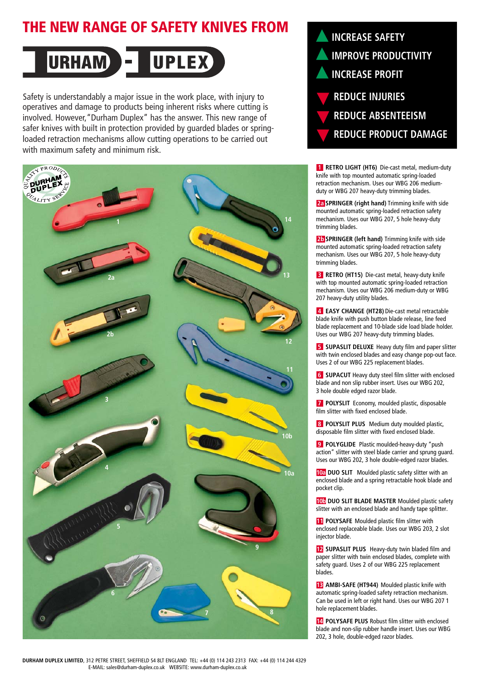# **THE NEW RANGE OF SAFETY KNIVES FROM**

#### **URHAM UPLEX**  $\vert$   $\vert$

Safety is understandably a major issue in the work place, with injury to operatives and damage to products being inherent risks where cutting is involved. However,"Durham Duplex" has the answer. This new range of safer knives with built in protection provided by guarded blades or springloaded retraction mechanisms allow cutting operations to be carried out with maximum safety and minimum risk.





**1 RETRO LIGHT (HT6)** Die-cast metal, medium-duty knife with top mounted automatic spring-loaded retraction mechanism. Uses our WBG 206 mediumduty or WBG 207 heavy-duty trimming blades.

**2a SPRINGER (right hand)** Trimming knife with side mounted automatic spring-loaded retraction safety mechanism. Uses our WBG 207, 5 hole heavy-duty trimming blades.

**2b SPRINGER (left hand)** Trimming knife with side mounted automatic spring-loaded retraction safety mechanism. Uses our WBG 207, 5 hole heavy-duty trimming blades.

**3 RETRO (HT15)** Die-cast metal, heavy-duty knife with top mounted automatic spring-loaded retraction mechanism. Uses our WBG 206 medium-duty or WBG 207 heavy-duty utility blades.

**4 EASY CHANGE (HT28)** Die-cast metal retractable blade knife with push button blade release, line feed blade replacement and 10-blade side load blade holder. Uses our WBG 207 heavy-duty trimming blades.

**5 SUPASLIT DELUXE** Heavy duty film and paper slitter with twin enclosed blades and easy change pop-out face. Uses 2 of our WBG 225 replacement blades.

**6 SUPACUT** Heavy duty steel film slitter with enclosed blade and non slip rubber insert. Uses our WBG 202, 3 hole double edged razor blade.

**7 POLYSLIT** Economy, moulded plastic, disposable film slitter with fixed enclosed blade.

**8 POLYSLIT PLUS** Medium duty moulded plastic, disposable film slitter with fixed enclosed blade.

**9 POLYGLIDE** Plastic moulded-heavy-duty "push action" slitter with steel blade carrier and sprung guard. Uses our WBG 202, 3 hole double-edged razor blades.

**10a DUO SLIT** Moulded plastic safety slitter with an enclosed blade and a spring retractable hook blade and pocket clip.

**10b DUO SLIT BLADE MASTER** Moulded plastic safety slitter with an enclosed blade and handy tape splitter.

**11 POLYSAFE** Moulded plastic film slitter with enclosed replaceable blade. Uses our WBG 203, 2 slot injector blade.

**12 SUPASLIT PLUS** Heavy-duty twin bladed film and paper slitter with twin enclosed blades, complete with safety guard. Uses 2 of our WBG 225 replacement blades.

**13 AMBI-SAFE (HT944)** Moulded plastic knife with automatic spring-loaded safety retraction mechanism. Can be used in left or right hand. Uses our WBG 207 1 hole replacement blades.

**14 POLYSAFE PLUS** Robust film slitter with enclosed blade and non-slip rubber handle insert. Uses our WBG 202, 3 hole, double-edged razor blades.